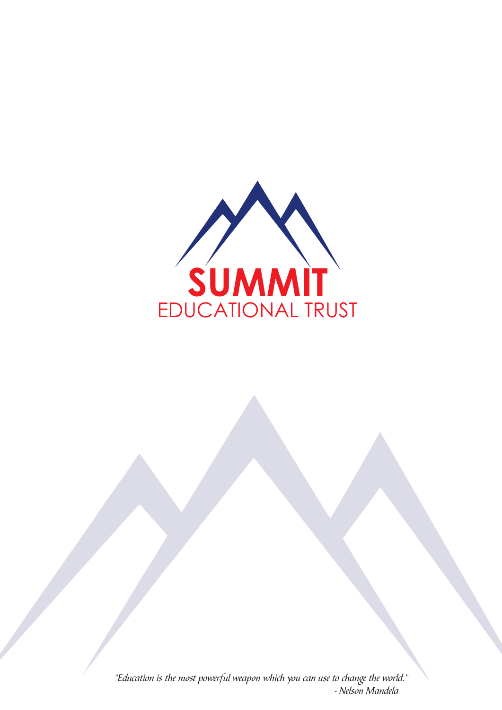

"Education is the most powerful weapon which you can use to change the world." - Nelson Mandela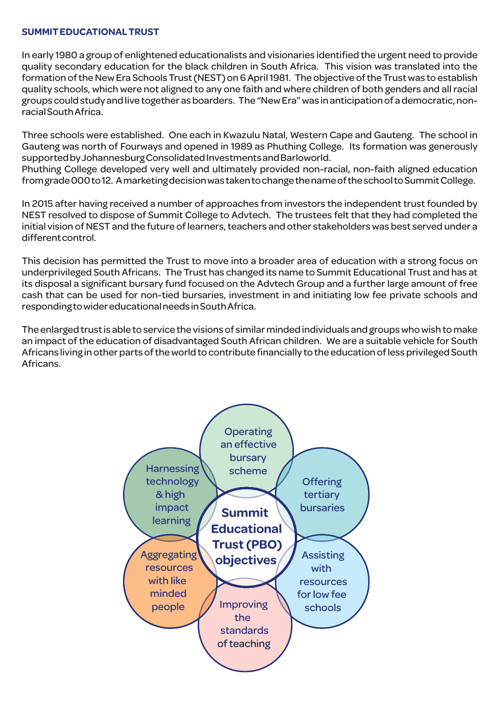# **SUMMIT EDUCATIONAL TRUST**

**In early 1980 a group of enlightened educationalists and visionaries identified the urgent need to provide quality secondary education for the black children in South Africa. This vision was translated into the formation of the New Era Schools Trust (NEST) on 6 April 1981. The objective of the Trust was to establish quality schools, which were not aligned to any one faith and where children of both genders and all racial groups could study and live together as boarders. The "New Era" was in anticipation of a democratic, nonracial South Africa.**

**Three schools were established. One each in Kwazulu Natal, Western Cape and Gauteng. The school in Gauteng was north of Fourways and opened in 1989 as Phuthing College. Its formation was generously supported by Johannesburg Consolidated Investments and Barloworld.**

**Phuthing College developed very well and ultimately provided non-racial, non-faith aligned education from grade 000 to 12. A marketing decision was taken to change the name of the school to Summit College.**

**In 2015 after having received a number of approaches from investors the independent trust founded by NEST resolved to dispose of Summit College to Advtech. The trustees felt that they had completed the initial vision of NEST and the future of learners, teachers and other stakeholders was best served under a different control.**

**This decision has permitted the Trust to move into a broader area of education with a strong focus on underprivileged South Africans. The Trust has changed its name to Summit Educational Trust and has at its disposal a significant bursary fund focused on the Advtech Group and a further large amount of free cash that can be used for non-tied bursaries, investment in and initiating low fee private schools and responding to wider educational needs in South Africa.**

**The enlarged trust is able to service the visions of similar minded individuals and groups who wish to make an impact of the education of disadvantaged South African children. We are a suitable vehicle for South Africans living in other parts of the world to contribute financially to the education of less privileged South Africans.**

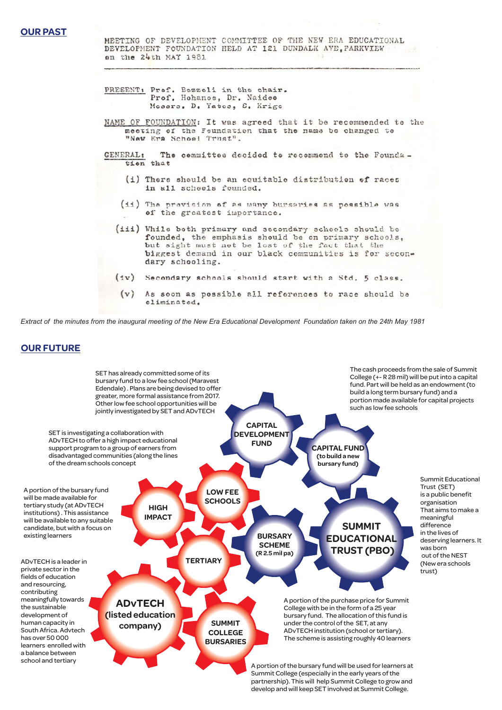MEETING OF DEVELOPMENT COMMITTEE OF THE NEW ERA EDUCATIONAL DEVELOPMENT FOUNDATION HELD AT 121 DUNDALK AVE, PARKVIEW on the 24th MAY 1981

- PRESENT: Prof. Bozzoli in the chair.<br>Prof. Hohanoe, Dr. Naidee Messrs. D. Yates, S. Krige
- NAME OF FOUNDATION: It was agreed that it be recommended to the meeting of the Feundation that the name be changed to "New Era School Trust".
- The cemmittes decided to recommend to the Founda-**GENERAL:** tion that
	- (i) There should be an equitable distribution of races in all scheels founded.
	- (ii) The provision of as many bursaries as possible was of the greatest importance.
	- (iii) While both primary and secondary schools should be founded, the emphasis should be on primary schools,<br>but sight must not be lost of the fact that the biggest demand in our black communities is for secondary schooling.
	- (iv) Secondary schools should start with a Std. 5 class.
	- $(v)$ As soon as possible all references to race should be eliminated.

*Extract of the minutes from the inaugural meeting of the New Era Educational Development Foundation taken on the 24th May 1981*

# **OUR FUTURE**



**partnership). This will help Summit College to grow and develop and will keep SET involved at Summit College.**